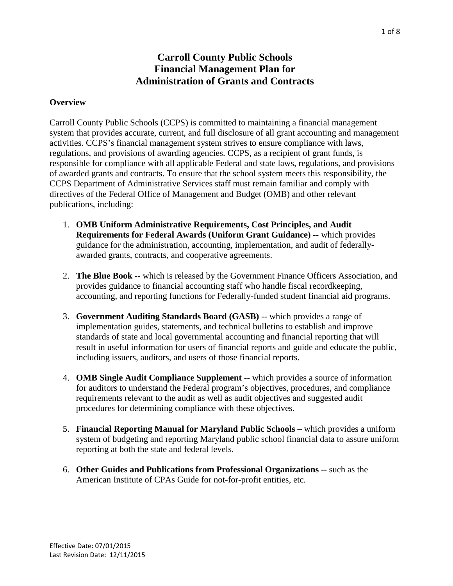# **Carroll County Public Schools Financial Management Plan for Administration of Grants and Contracts**

#### **Overview**

Carroll County Public Schools (CCPS) is committed to maintaining a financial management system that provides accurate, current, and full disclosure of all grant accounting and management activities. CCPS's financial management system strives to ensure compliance with laws, regulations, and provisions of awarding agencies. CCPS, as a recipient of grant funds, is responsible for compliance with all applicable Federal and state laws, regulations, and provisions of awarded grants and contracts. To ensure that the school system meets this responsibility, the CCPS Department of Administrative Services staff must remain familiar and comply with directives of the Federal Office of Management and Budget (OMB) and other relevant publications, including:

- 1. **OMB Uniform Administrative Requirements, Cost Principles, and Audit Requirements for Federal Awards (Uniform Grant Guidance) --** which provides guidance for the administration, accounting, implementation, and audit of federallyawarded grants, contracts, and cooperative agreements.
- 2. **The Blue Book** -- which is released by the Government Finance Officers Association, and provides guidance to financial accounting staff who handle fiscal recordkeeping, accounting, and reporting functions for Federally-funded student financial aid programs.
- 3. **Government Auditing Standards Board (GASB)** -- which provides a range of implementation guides, statements, and technical bulletins to establish and improve standards of state and local governmental accounting and financial reporting that will result in useful information for users of financial reports and guide and educate the public, including issuers, auditors, and users of those financial reports.
- 4. **OMB Single Audit Compliance Supplement** -- which provides a source of information for auditors to understand the Federal program's objectives, procedures, and compliance requirements relevant to the audit as well as audit objectives and suggested audit procedures for determining compliance with these objectives.
- 5. **Financial Reporting Manual for Maryland Public Schools** which provides a uniform system of budgeting and reporting Maryland public school financial data to assure uniform reporting at both the state and federal levels.
- 6. **Other Guides and Publications from Professional Organizations** -- such as the American Institute of CPAs Guide for not-for-profit entities, etc.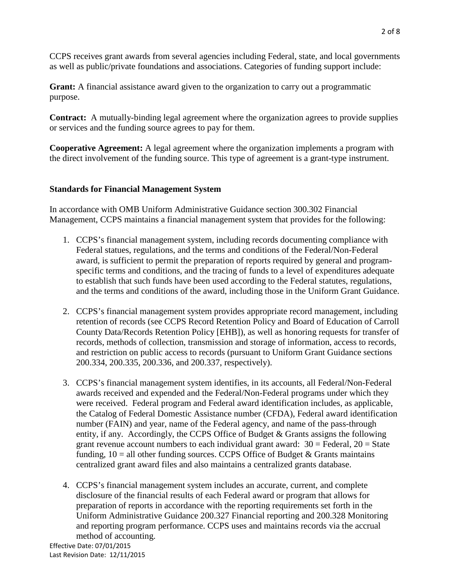CCPS receives grant awards from several agencies including Federal, state, and local governments as well as public/private foundations and associations. Categories of funding support include:

**Grant:** A financial assistance award given to the organization to carry out a programmatic purpose.

**Contract:** A mutually-binding legal agreement where the organization agrees to provide supplies or services and the funding source agrees to pay for them.

**Cooperative Agreement:** A legal agreement where the organization implements a program with the direct involvement of the funding source. This type of agreement is a grant-type instrument.

### **Standards for Financial Management System**

In accordance with OMB Uniform Administrative Guidance section 300.302 Financial Management, CCPS maintains a financial management system that provides for the following:

- 1. CCPS's financial management system, including records documenting compliance with Federal statues, regulations, and the terms and conditions of the Federal/Non-Federal award, is sufficient to permit the preparation of reports required by general and programspecific terms and conditions, and the tracing of funds to a level of expenditures adequate to establish that such funds have been used according to the Federal statutes, regulations, and the terms and conditions of the award, including those in the Uniform Grant Guidance.
- 2. CCPS's financial management system provides appropriate record management, including retention of records (see CCPS Record Retention Policy and Board of Education of Carroll County Data/Records Retention Policy [EHB]), as well as honoring requests for transfer of records, methods of collection, transmission and storage of information, access to records, and restriction on public access to records (pursuant to Uniform Grant Guidance sections 200.334, 200.335, 200.336, and 200.337, respectively).
- 3. CCPS's financial management system identifies, in its accounts, all Federal/Non-Federal awards received and expended and the Federal/Non-Federal programs under which they were received. Federal program and Federal award identification includes, as applicable, the Catalog of Federal Domestic Assistance number (CFDA), Federal award identification number (FAIN) and year, name of the Federal agency, and name of the pass-through entity, if any. Accordingly, the CCPS Office of Budget & Grants assigns the following grant revenue account numbers to each individual grant award:  $30 =$  Federal,  $20 =$  State funding,  $10 =$  all other funding sources. CCPS Office of Budget & Grants maintains centralized grant award files and also maintains a centralized grants database.
- 4. CCPS's financial management system includes an accurate, current, and complete disclosure of the financial results of each Federal award or program that allows for preparation of reports in accordance with the reporting requirements set forth in the Uniform Administrative Guidance 200.327 Financial reporting and 200.328 Monitoring and reporting program performance. CCPS uses and maintains records via the accrual method of accounting.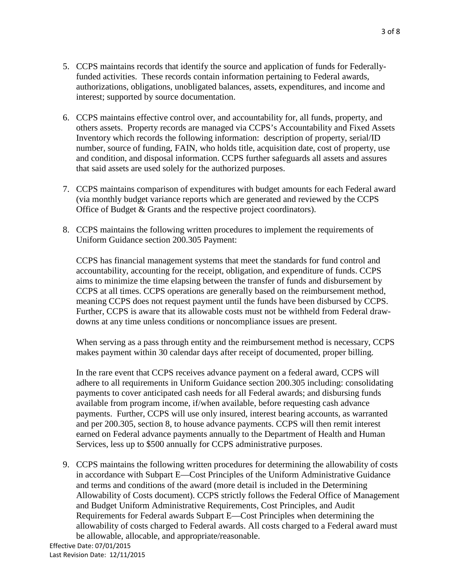- 5. CCPS maintains records that identify the source and application of funds for Federallyfunded activities. These records contain information pertaining to Federal awards, authorizations, obligations, unobligated balances, assets, expenditures, and income and interest; supported by source documentation.
- 6. CCPS maintains effective control over, and accountability for, all funds, property, and others assets. Property records are managed via CCPS's Accountability and Fixed Assets Inventory which records the following information: description of property, serial/ID number, source of funding, FAIN, who holds title, acquisition date, cost of property, use and condition, and disposal information. CCPS further safeguards all assets and assures that said assets are used solely for the authorized purposes.
- 7. CCPS maintains comparison of expenditures with budget amounts for each Federal award (via monthly budget variance reports which are generated and reviewed by the CCPS Office of Budget & Grants and the respective project coordinators).
- 8. CCPS maintains the following written procedures to implement the requirements of Uniform Guidance section 200.305 Payment:

CCPS has financial management systems that meet the standards for fund control and accountability, accounting for the receipt, obligation, and expenditure of funds. CCPS aims to minimize the time elapsing between the transfer of funds and disbursement by CCPS at all times. CCPS operations are generally based on the reimbursement method, meaning CCPS does not request payment until the funds have been disbursed by CCPS. Further, CCPS is aware that its allowable costs must not be withheld from Federal drawdowns at any time unless conditions or noncompliance issues are present.

When serving as a pass through entity and the reimbursement method is necessary, CCPS makes payment within 30 calendar days after receipt of documented, proper billing.

In the rare event that CCPS receives advance payment on a federal award, CCPS will adhere to all requirements in Uniform Guidance section 200.305 including: consolidating payments to cover anticipated cash needs for all Federal awards; and disbursing funds available from program income, if/when available, before requesting cash advance payments. Further, CCPS will use only insured, interest bearing accounts, as warranted and per 200.305, section 8, to house advance payments. CCPS will then remit interest earned on Federal advance payments annually to the Department of Health and Human Services, less up to \$500 annually for CCPS administrative purposes.

9. CCPS maintains the following written procedures for determining the allowability of costs in accordance with Subpart E—Cost Principles of the Uniform Administrative Guidance and terms and conditions of the award (more detail is included in the Determining Allowability of Costs document). CCPS strictly follows the Federal Office of Management and Budget Uniform Administrative Requirements, Cost Principles, and Audit Requirements for Federal awards Subpart E—Cost Principles when determining the allowability of costs charged to Federal awards. All costs charged to a Federal award must be allowable, allocable, and appropriate/reasonable.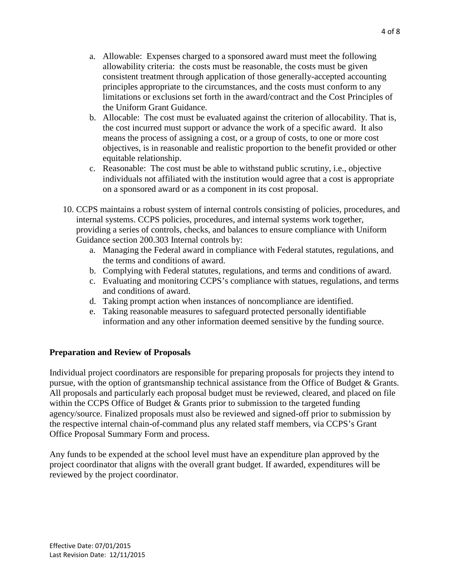- a. Allowable: Expenses charged to a sponsored award must meet the following allowability criteria: the costs must be reasonable, the costs must be given consistent treatment through application of those generally-accepted accounting principles appropriate to the circumstances, and the costs must conform to any limitations or exclusions set forth in the award/contract and the Cost Principles of the Uniform Grant Guidance.
- b. Allocable: The cost must be evaluated against the criterion of allocability. That is, the cost incurred must support or advance the work of a specific award. It also means the process of assigning a cost, or a group of costs, to one or more cost objectives, is in reasonable and realistic proportion to the benefit provided or other equitable relationship.
- c. Reasonable: The cost must be able to withstand public scrutiny, i.e., objective individuals not affiliated with the institution would agree that a cost is appropriate on a sponsored award or as a component in its cost proposal.
- 10. CCPS maintains a robust system of internal controls consisting of policies, procedures, and internal systems. CCPS policies, procedures, and internal systems work together, providing a series of controls, checks, and balances to ensure compliance with Uniform Guidance section 200.303 Internal controls by:
	- a. Managing the Federal award in compliance with Federal statutes, regulations, and the terms and conditions of award.
	- b. Complying with Federal statutes, regulations, and terms and conditions of award.
	- c. Evaluating and monitoring CCPS's compliance with statues, regulations, and terms and conditions of award.
	- d. Taking prompt action when instances of noncompliance are identified.
	- e. Taking reasonable measures to safeguard protected personally identifiable information and any other information deemed sensitive by the funding source.

### **Preparation and Review of Proposals**

Individual project coordinators are responsible for preparing proposals for projects they intend to pursue, with the option of grantsmanship technical assistance from the Office of Budget & Grants. All proposals and particularly each proposal budget must be reviewed, cleared, and placed on file within the CCPS Office of Budget & Grants prior to submission to the targeted funding agency/source. Finalized proposals must also be reviewed and signed-off prior to submission by the respective internal chain-of-command plus any related staff members, via CCPS's Grant Office Proposal Summary Form and process.

Any funds to be expended at the school level must have an expenditure plan approved by the project coordinator that aligns with the overall grant budget. If awarded, expenditures will be reviewed by the project coordinator.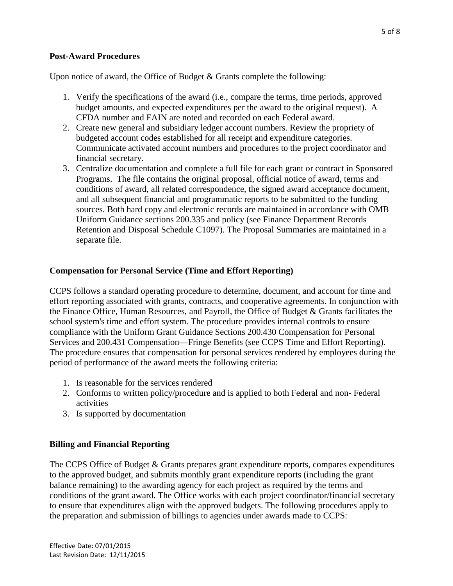### **Post-Award Procedures**

Upon notice of award, the Office of Budget & Grants complete the following:

- 1. Verify the specifications of the award (i.e., compare the terms, time periods, approved budget amounts, and expected expenditures per the award to the original request). A CFDA number and FAIN are noted and recorded on each Federal award.
- 2. Create new general and subsidiary ledger account numbers. Review the propriety of budgeted account codes established for all receipt and expenditure categories. Communicate activated account numbers and procedures to the project coordinator and financial secretary.
- 3. Centralize documentation and complete a full file for each grant or contract in Sponsored Programs. The file contains the original proposal, official notice of award, terms and conditions of award, all related correspondence, the signed award acceptance document, and all subsequent financial and programmatic reports to be submitted to the funding sources. Both hard copy and electronic records are maintained in accordance with OMB Uniform Guidance sections 200.335 and policy (see Finance Department Records Retention and Disposal Schedule C1097). The Proposal Summaries are maintained in a separate file.

### **Compensation for Personal Service (Time and Effort Reporting)**

CCPS follows a standard operating procedure to determine, document, and account for time and effort reporting associated with grants, contracts, and cooperative agreements. In conjunction with the Finance Office, Human Resources, and Payroll, the Office of Budget & Grants facilitates the school system's time and effort system. The procedure provides internal controls to ensure compliance with the Uniform Grant Guidance Sections 200.430 Compensation for Personal Services and 200.431 Compensation—Fringe Benefits (see CCPS Time and Effort Reporting). The procedure ensures that compensation for personal services rendered by employees during the period of performance of the award meets the following criteria:

- 1. Is reasonable for the services rendered
- 2. Conforms to written policy/procedure and is applied to both Federal and non- Federal activities
- 3. Is supported by documentation

### **Billing and Financial Reporting**

The CCPS Office of Budget & Grants prepares grant expenditure reports, compares expenditures to the approved budget, and submits monthly grant expenditure reports (including the grant balance remaining) to the awarding agency for each project as required by the terms and conditions of the grant award. The Office works with each project coordinator/financial secretary to ensure that expenditures align with the approved budgets. The following procedures apply to the preparation and submission of billings to agencies under awards made to CCPS: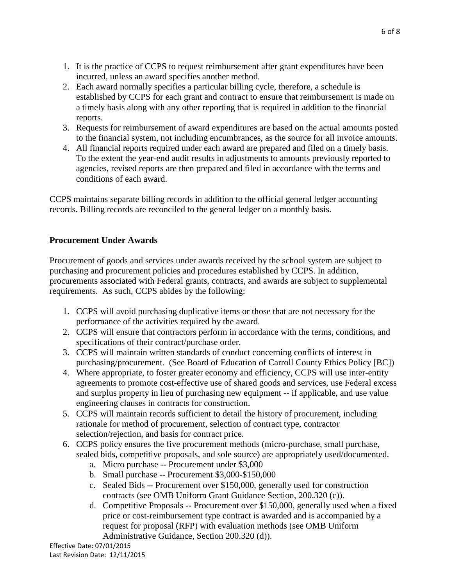- 1. It is the practice of CCPS to request reimbursement after grant expenditures have been incurred, unless an award specifies another method.
- 2. Each award normally specifies a particular billing cycle, therefore, a schedule is established by CCPS for each grant and contract to ensure that reimbursement is made on a timely basis along with any other reporting that is required in addition to the financial reports.
- 3. Requests for reimbursement of award expenditures are based on the actual amounts posted to the financial system, not including encumbrances, as the source for all invoice amounts.
- 4. All financial reports required under each award are prepared and filed on a timely basis. To the extent the year-end audit results in adjustments to amounts previously reported to agencies, revised reports are then prepared and filed in accordance with the terms and conditions of each award.

CCPS maintains separate billing records in addition to the official general ledger accounting records. Billing records are reconciled to the general ledger on a monthly basis.

## **Procurement Under Awards**

Procurement of goods and services under awards received by the school system are subject to purchasing and procurement policies and procedures established by CCPS. In addition, procurements associated with Federal grants, contracts, and awards are subject to supplemental requirements. As such, CCPS abides by the following:

- 1. CCPS will avoid purchasing duplicative items or those that are not necessary for the performance of the activities required by the award.
- 2. CCPS will ensure that contractors perform in accordance with the terms, conditions, and specifications of their contract/purchase order.
- 3. CCPS will maintain written standards of conduct concerning conflicts of interest in purchasing/procurement. (See Board of Education of Carroll County Ethics Policy [BC])
- 4. Where appropriate, to foster greater economy and efficiency, CCPS will use inter-entity agreements to promote cost-effective use of shared goods and services, use Federal excess and surplus property in lieu of purchasing new equipment -- if applicable, and use value engineering clauses in contracts for construction.
- 5. CCPS will maintain records sufficient to detail the history of procurement, including rationale for method of procurement, selection of contract type, contractor selection/rejection, and basis for contract price.
- 6. CCPS policy ensures the five procurement methods (micro-purchase, small purchase, sealed bids, competitive proposals, and sole source) are appropriately used/documented.
	- a. Micro purchase -- Procurement under \$3,000
	- b. Small purchase -- Procurement \$3,000-\$150,000
	- c. Sealed Bids -- Procurement over \$150,000, generally used for construction contracts (see OMB Uniform Grant Guidance Section, 200.320 (c)).
	- d. Competitive Proposals -- Procurement over \$150,000, generally used when a fixed price or cost-reimbursement type contract is awarded and is accompanied by a request for proposal (RFP) with evaluation methods (see OMB Uniform Administrative Guidance, Section 200.320 (d)).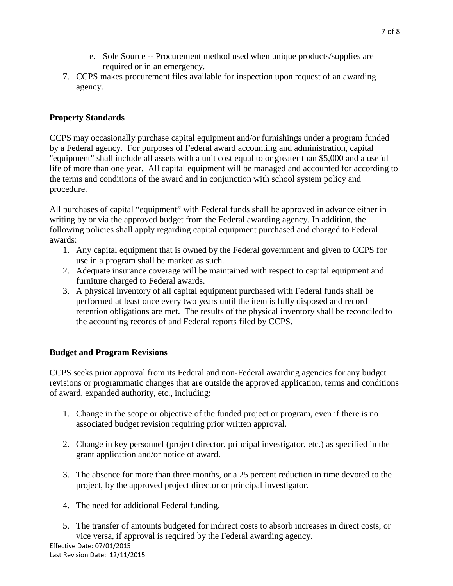- e. Sole Source -- Procurement method used when unique products/supplies are required or in an emergency.
- 7. CCPS makes procurement files available for inspection upon request of an awarding agency.

### **Property Standards**

CCPS may occasionally purchase capital equipment and/or furnishings under a program funded by a Federal agency. For purposes of Federal award accounting and administration, capital "equipment" shall include all assets with a unit cost equal to or greater than \$5,000 and a useful life of more than one year. All capital equipment will be managed and accounted for according to the terms and conditions of the award and in conjunction with school system policy and procedure.

All purchases of capital "equipment" with Federal funds shall be approved in advance either in writing by or via the approved budget from the Federal awarding agency. In addition, the following policies shall apply regarding capital equipment purchased and charged to Federal awards:

- 1. Any capital equipment that is owned by the Federal government and given to CCPS for use in a program shall be marked as such.
- 2. Adequate insurance coverage will be maintained with respect to capital equipment and furniture charged to Federal awards.
- 3. A physical inventory of all capital equipment purchased with Federal funds shall be performed at least once every two years until the item is fully disposed and record retention obligations are met. The results of the physical inventory shall be reconciled to the accounting records of and Federal reports filed by CCPS.

### **Budget and Program Revisions**

CCPS seeks prior approval from its Federal and non-Federal awarding agencies for any budget revisions or programmatic changes that are outside the approved application, terms and conditions of award, expanded authority, etc., including:

- 1. Change in the scope or objective of the funded project or program, even if there is no associated budget revision requiring prior written approval.
- 2. Change in key personnel (project director, principal investigator, etc.) as specified in the grant application and/or notice of award.
- 3. The absence for more than three months, or a 25 percent reduction in time devoted to the project, by the approved project director or principal investigator.
- 4. The need for additional Federal funding.
- 5. The transfer of amounts budgeted for indirect costs to absorb increases in direct costs, or vice versa, if approval is required by the Federal awarding agency.